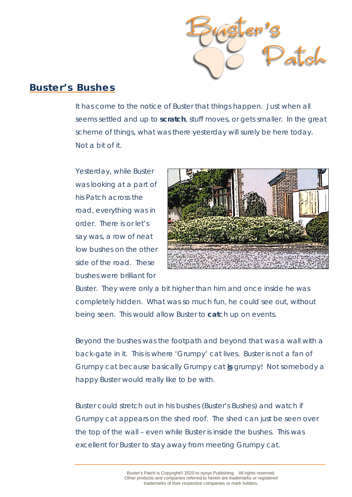

## **Buster's Bushes**

It has come to the notice of Buster that things happen. Just when all seems settled and up to *scratch*, stuff moves, or gets smaller. In the great scheme of things, what was there yesterday will surely be here today. Not a bit of it.

Yesterday, while Buster was looking at a part of his Patch across the road, everything was in order. There is or let's say was, a row of neat low bushes on the other side of the road. These bushes were brilliant for



Buster. They were only a bit higher than him and once inside he was completely hidden. What was so much fun, he could see out, without being seen. This would allow Buster to *cat*ch up on events.

Beyond the bushes was the footpath and beyond that was a wall with a back-gate in it. This is where 'Grumpy' cat lives. Buster is not a fan of Grumpy cat because basically Grumpy cat **is** grumpy! Not somebody a happy Buster would really like to be with.

Buster could stretch out in his bushes (Buster's Bushes) and watch if Grumpy cat appears on the shed roof. The shed can just be seen over the top of the wall – even while Buster is inside the bushes. This was excellent for Buster to stay away from meeting Grumpy cat.